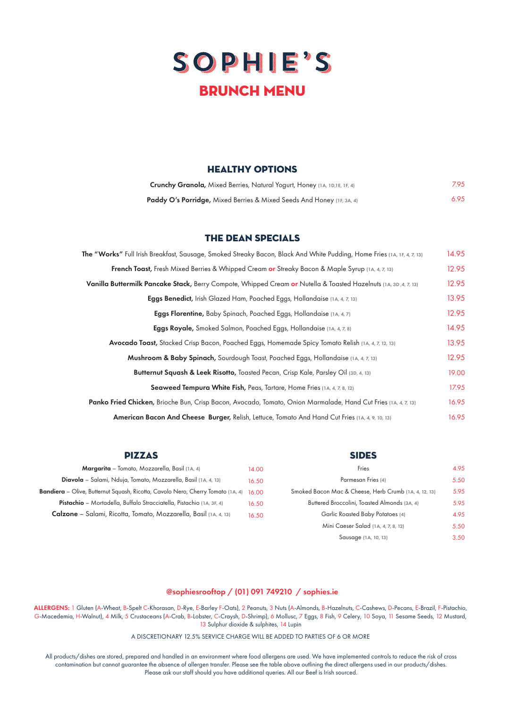

## HEALTHY OPTIONS

| <b>Crunchy Granola, Mixed Berries, Natural Yogurt, Honey (1A, 1D,1E, 1F, 4)</b>  | 7.95 |
|----------------------------------------------------------------------------------|------|
| <b>Paddy O's Porridge, Mixed Berries &amp; Mixed Seeds And Honey (IF, 3A, 4)</b> | 6.95 |

## the dean specials

| The "Works" Full Irish Breakfast, Sausage, Smoked Streaky Bacon, Black And White Pudding, Home Fries (1A, 1F, 4, 7, 13) |       |  |  |
|-------------------------------------------------------------------------------------------------------------------------|-------|--|--|
| French Toast, Fresh Mixed Berries & Whipped Cream or Streaky Bacon & Maple Syrup (1A, 4, 7, 13)                         |       |  |  |
| Vanilla Buttermilk Pancake Stack, Berry Compote, Whipped Cream or Nutella & Toasted Hazelnuts (1A, 3D, 4, 7, 13)        |       |  |  |
| Eggs Benedict, Irish Glazed Ham, Poached Eggs, Hollandaise (1A, 4, 7, 13)                                               |       |  |  |
| Eggs Florentine, Baby Spinach, Poached Eggs, Hollandaise (1A, 4, 7)                                                     |       |  |  |
| Eggs Royale, Smoked Salmon, Poached Eggs, Hollandaise (1A, 4, 7, 8)                                                     |       |  |  |
| Avocado Toast, Stacked Crisp Bacon, Poached Eggs, Homemade Spicy Tomato Relish (1A, 4, 7, 12, 13)                       |       |  |  |
| Mushroom & Baby Spinach, Sourdough Toast, Poached Eggs, Hollandaise (1A, 4, 7, 13)                                      |       |  |  |
| Butternut Squash & Leek Risotto, Toasted Pecan, Crisp Kale, Parsley Oil (3D, 4, 13)                                     |       |  |  |
| <b>Seaweed Tempura White Fish, Peas, Tartare, Home Fries (1A, 4, 7, 8, 12)</b>                                          |       |  |  |
| <b>Panko Fried Chicken,</b> Brioche Bun, Crisp Bacon, Avocado, Tomato, Onion Marmalade, Hand Cut Fries (1A, 4, 7, 13)   |       |  |  |
| American Bacon And Cheese Burger, Relish, Lettuce, Tomato And Hand Cut Fries (1A, 4, 9, 10, 13)                         | 16.95 |  |  |

| <b>PIZZAS</b>                                                                   |       | <b>SIDES</b>                                          |      |
|---------------------------------------------------------------------------------|-------|-------------------------------------------------------|------|
| Margarita - Tomato, Mozzarella, Basil (1A, 4)                                   | 14.00 | Fries                                                 | 4.95 |
| <b>Diavola</b> – Salami, Nduja, Tomato, Mozzarella, Basil (1A, 4, 13)           | 16.50 | Parmesan Fries (4)                                    | 5.50 |
| Bandiera – Olive, Butternut Squash, Ricotta, Cavolo Nero, Cherry Tomato (1A, 4) | 16.00 | Smoked Bacon Mac & Cheese, Herb Crumb (1A, 4, 12, 13) | 5.95 |
| Pistachio - Mortadella, Buffalo Stracciatella, Pistachio (1A, 3F, 4)            | 16.50 | Buttered Broccolini, Toasted Almonds (3A, 4)          | 5.95 |
| <b>Calzone</b> – Salami, Ricotta, Tomato, Mozzarella, Basil (1A, 4, 13)         | 16.50 | Garlic Roasted Baby Potatoes (4)                      | 4.95 |
|                                                                                 |       | Mini Caeser Salad (1A, 4, 7, 8, 12)                   | 5.50 |

Sausage (1A, 10, 13)

3.50

## @sophiesrooftop / (01) 091 749210 / sophies.ie

ALLERGENS: 1 Gluten (A-Wheat, B-Spelt C-Khorasan, D-Rye, E-Barley F-Oats), 2 Peanuts, 3 Nuts (A-Almonds, B-Hazelnuts, C-Cashews, D-Pecans, E-Brazil, F-Pistachio, G-Macedemia, H-Walnut), 4 Milk, 5 Crustaceans (A-Crab, B-Lobster, C-Craysh, D-Shrimp), 6 Mollusc, 7 Eggs, 8 Fish, 9 Celery, 10 Soya, 11 Sesame Seeds, 12 Mustard, 13 Sulphur dioxide & sulphites, 14 Lupin

A DISCRETIONARY 12.5% SERVICE CHARGE WILL BE ADDED TO PARTIES OF 6 OR MORE

All products/dishes are stored, prepared and handled in an environment where food allergens are used. We have implemented controls to reduce the risk of cross contamination but cannot guarantee the absence of allergen transfer. Please see the table above outlining the direct allergens used in our products/dishes. Please ask our staff should you have additional queries. All our Beef is Irish sourced.